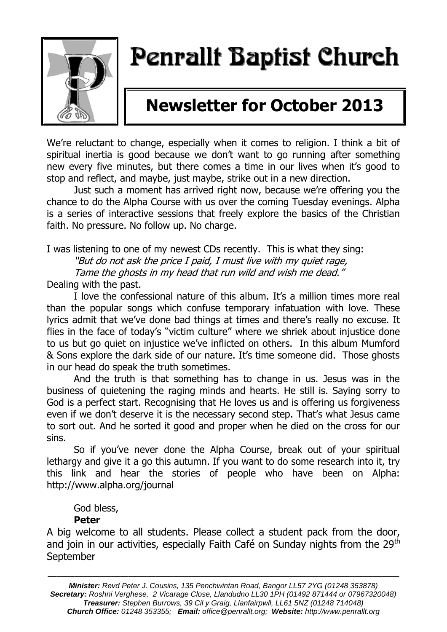

# Penrallt Baptist Church

## **Newsletter for October 2013**

We're reluctant to change, especially when it comes to religion. I think a bit of spiritual inertia is good because we don't want to go running after something new every five minutes, but there comes a time in our lives when it's good to stop and reflect, and maybe, just maybe, strike out in a new direction.

Just such a moment has arrived right now, because we're offering you the chance to do the Alpha Course with us over the coming Tuesday evenings. Alpha is a series of interactive sessions that freely explore the basics of the Christian faith. No pressure. No follow up. No charge.

I was listening to one of my newest CDs recently. This is what they sing:

"But do not ask the price I paid, I must live with my quiet rage,

Tame the ghosts in my head that run wild and wish me dead."

Dealing with the past.

I love the confessional nature of this album. It's a million times more real than the popular songs which confuse temporary infatuation with love. These lyrics admit that we've done bad things at times and there's really no excuse. It flies in the face of today's "victim culture" where we shriek about injustice done to us but go quiet on injustice we've inflicted on others. In this album Mumford & Sons explore the dark side of our nature. It's time someone did. Those ghosts in our head do speak the truth sometimes.

And the truth is that something has to change in us. Jesus was in the business of quietening the raging minds and hearts. He still is. Saying sorry to God is a perfect start. Recognising that He loves us and is offering us forgiveness even if we don't deserve it is the necessary second step. That's what Jesus came to sort out. And he sorted it good and proper when he died on the cross for our sins.

So if you've never done the Alpha Course, break out of your spiritual lethargy and give it a go this autumn. If you want to do some research into it, try this link and hear the stories of people who have been on Alpha: <http://www.alpha.org/journal>

God bless,

#### **Peter**

A big welcome to all students. Please collect a student pack from the door, and join in our activities, especially Faith Café on Sunday nights from the 29<sup>th</sup> September

*Minister: Revd Peter J. Cousins, 135 Penchwintan Road, Bangor LL57 2YG (01248 353878) Secretary: Roshni Verghese, 2 Vicarage Close, Llandudno LL30 1PH (01492 871444 or 07967320048) Treasurer: Stephen Burrows, 39 Cil y Graig, Llanfairpwll, LL61 5NZ (01248 714048) Church Office: 01248 353355; Email: office@penrallt.org; Website: http://www.penrallt.org*

———————————————————————————————————————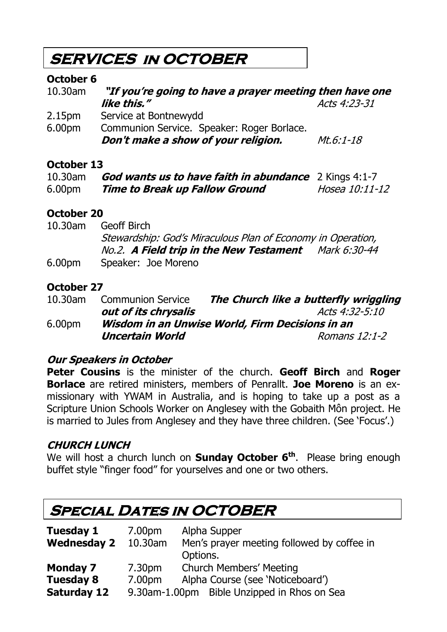### **SERVICES in OCTOBER**

#### **October 6**

| "If you're going to have a prayer meeting then have one |              |  |
|---------------------------------------------------------|--------------|--|
| like this."                                             | Acts 4:23-31 |  |
| Service at Bontnewydd                                   |              |  |
| Communion Service. Speaker: Roger Borlace.              |              |  |
| Don't make a show of your religion.                     | $Mt.6:1-18$  |  |
|                                                         |              |  |

#### **October 13**

| 10.30am            | <b>God wants us to have faith in abundance</b> 2 Kings 4:1-7 |                |
|--------------------|--------------------------------------------------------------|----------------|
| 6.00 <sub>pm</sub> | <b>Time to Break up Fallow Ground</b>                        | Hosea 10:11-12 |

### **October 20**

| 10.30am | Geoff Birch                                                 |  |
|---------|-------------------------------------------------------------|--|
|         | Stewardship: God's Miraculous Plan of Economy in Operation, |  |
|         | No.2. A Field trip in the New Testament Mark 6:30-44        |  |
| 6.00pm  | Speaker: Joe Moreno                                         |  |

#### **October 27**

| 10.30am            | <b>Communion Service</b>                        | The Church like a butterfly wriggling |  |
|--------------------|-------------------------------------------------|---------------------------------------|--|
|                    | out of its chrysalis                            | Acts 4:32-5:10                        |  |
| 6.00 <sub>pm</sub> | Wisdom in an Unwise World, Firm Decisions in an |                                       |  |
|                    | <b>Uncertain World</b>                          | Romans 12:1-2                         |  |

#### **Our Speakers in October**

**Peter Cousins** is the minister of the church. **Geoff Birch** and **Roger Borlace** are retired ministers, members of Penrallt. **Joe Moreno** is an exmissionary with YWAM in Australia, and is hoping to take up a post as a Scripture Union Schools Worker on Anglesey with the Gobaith Môn project. He is married to Jules from Anglesey and they have three children. (See 'Focus'.)

### **CHURCH LUNCH**

We will host a church lunch on **Sunday October 6th**. Please bring enough buffet style "finger food" for yourselves and one or two others.

### **Special Dates in OCTOBER**

| Tuesday 1          | 7.00pm  | Alpha Supper                                |  |
|--------------------|---------|---------------------------------------------|--|
| <b>Wednesday 2</b> | 10.30am | Men's prayer meeting followed by coffee in  |  |
|                    |         | Options.                                    |  |
| <b>Monday 7</b>    | 7.30pm  | <b>Church Members' Meeting</b>              |  |
| <b>Tuesday 8</b>   | 7.00pm  | Alpha Course (see 'Noticeboard')            |  |
| <b>Saturday 12</b> |         | 9.30am-1.00pm Bible Unzipped in Rhos on Sea |  |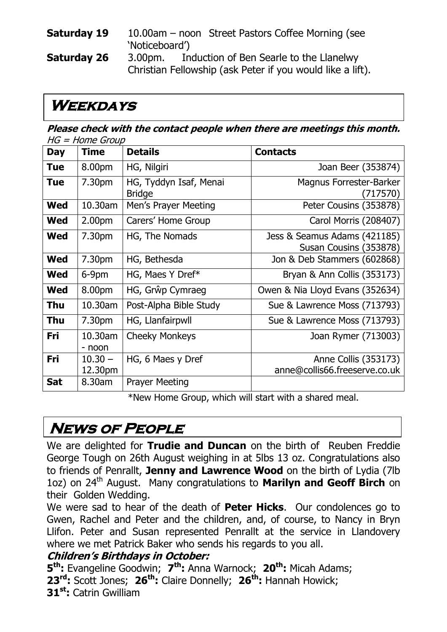#### **Saturday 19** 10.00am – noon Street Pastors Coffee Morning (see 'Noticeboard')

**Saturday 26** 3.00pm. Induction of Ben Searle to the Llanelwy Christian Fellowship (ask Peter if you would like a lift).

### **Weekdays**

**Please check with the contact people when there are meetings this month.**   $HG = Home$  Group

| <b>Day</b> | <b>Time</b>          | <b>Details</b>                          | <b>Contacts</b>                                        |
|------------|----------------------|-----------------------------------------|--------------------------------------------------------|
| <b>Tue</b> | 8.00pm               | HG, Nilgiri                             | Joan Beer (353874)                                     |
| <b>Tue</b> | 7.30pm               | HG, Tyddyn Isaf, Menai<br><b>Bridge</b> | Magnus Forrester-Barker<br>(717570)                    |
| <b>Wed</b> | 10.30am              | Men's Prayer Meeting                    | Peter Cousins (353878)                                 |
| <b>Wed</b> | 2.00 <sub>pm</sub>   | Carers' Home Group                      | Carol Morris (208407)                                  |
| <b>Wed</b> | 7.30pm               | HG, The Nomads                          | Jess & Seamus Adams (421185)<br>Susan Cousins (353878) |
| <b>Wed</b> | 7.30pm               | HG, Bethesda                            | Jon & Deb Stammers (602868)                            |
| <b>Wed</b> | $6-9$ pm             | HG, Maes Y Dref*                        | Bryan & Ann Collis (353173)                            |
| <b>Wed</b> | 8.00pm               | HG, Grŵp Cymraeg                        | Owen & Nia Lloyd Evans (352634)                        |
| <b>Thu</b> | 10.30am              | Post-Alpha Bible Study                  | Sue & Lawrence Moss (713793)                           |
| <b>Thu</b> | 7.30pm               | HG, Llanfairpwll                        | Sue & Lawrence Moss (713793)                           |
| Fri        | 10.30am<br>- noon    | <b>Cheeky Monkeys</b>                   | Joan Rymer (713003)                                    |
| <b>Fri</b> | $10.30 -$<br>12.30pm | HG, 6 Maes y Dref                       | Anne Collis (353173)<br>anne@collis66.freeserve.co.uk  |
| Sat        | 8.30am               | <b>Prayer Meeting</b>                   |                                                        |

\*New Home Group, which will start with a shared meal.

### **News of People**

We are delighted for **Trudie and Duncan** on the birth of Reuben Freddie George Tough on 26th August weighing in at 5lbs 13 oz. Congratulations also to friends of Penrallt, **Jenny and Lawrence Wood** on the birth of Lydia (7lb 1oz) on 24<sup>th</sup> August. Many congratulations to **Marilyn and Geoff Birch** on their Golden Wedding.

We were sad to hear of the death of **Peter Hicks**. Our condolences go to Gwen, Rachel and Peter and the children, and, of course, to Nancy in Bryn Llifon. Peter and Susan represented Penrallt at the service in Llandovery where we met Patrick Baker who sends his regards to you all.

#### **Children's Birthdays in October:**

**5 th:** Evangeline Goodwin; **7 th:** Anna Warnock; **20th:** Micah Adams; **23rd:** Scott Jones; **26th:** Claire Donnelly; **26th:** Hannah Howick; **31st:** Catrin Gwilliam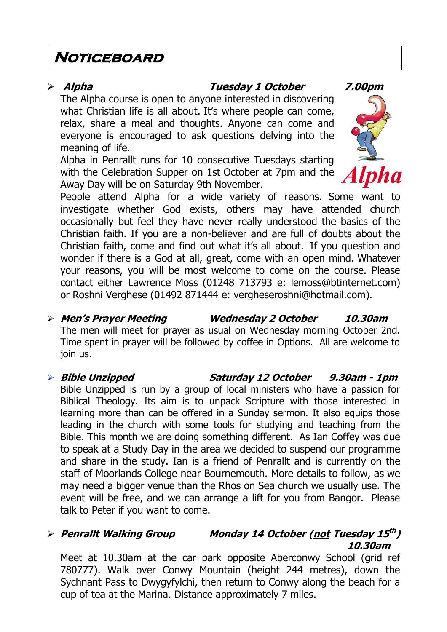### **Noticeboard**

#### **Alpha Tuesday 1 October 7.00pm**

The Alpha course is open to anyone interested in discovering what Christian life is all about. It's where people can come, relax, share a meal and thoughts. Anyone can come and everyone is encouraged to ask questions delving into the meaning of life.

Alpha in Penrallt runs for 10 consecutive Tuesdays starting with the Celebration Supper on 1st October at 7pm and the Away Day will be on Saturday 9th November.



People attend Alpha for a wide variety of reasons. Some want to investigate whether God exists, others may have attended church occasionally but feel they have never really understood the basics of the Christian faith. If you are a non-believer and are full of doubts about the Christian faith, come and find out what it's all about. If you question and wonder if there is a God at all, great, come with an open mind. Whatever your reasons, you will be most welcome to come on the course. Please contact either Lawrence Moss (01248 713793 e: [lemoss@btinternet.com\)](mailto:lemoss@btinternet.com) or Roshni Verghese (01492 871444 e: [vergheseroshni@hotmail.com\)](mailto:vergheseroshni@hotmail.com).

 **Men's Prayer Meeting Wednesday 2 October 10.30am** The men will meet for prayer as usual on Wednesday morning October 2nd. Time spent in prayer will be followed by coffee in Options. All are welcome to join us.

#### **Bible Unzipped Saturday 12 October 9.30am - 1pm** Bible Unzipped is run by a group of local ministers who have a passion for Biblical Theology. Its aim is to unpack Scripture with those interested in learning more than can be offered in a Sunday sermon. It also equips those leading in the church with some tools for studying and teaching from the Bible. This month we are doing something different. As Ian Coffey was due to speak at a Study Day in the area we decided to suspend our programme and share in the study. Ian is a friend of Penrallt and is currently on the staff of Moorlands College near Bournemouth. More details to follow, as we may need a bigger venue than the Rhos on Sea church we usually use. The event will be free, and we can arrange a lift for you from Bangor. Please talk to Peter if you want to come.

#### **Penrallt Walking Group Monday 14 October (not Tuesday 15 th ) 10.30am**

Meet at 10.30am at the car park opposite Aberconwy School (grid ref 780777). Walk over Conwy Mountain (height 244 metres), down the Sychnant Pass to Dwygyfylchi, then return to Conwy along the beach for a cup of tea at the Marina. Distance approximately 7 miles.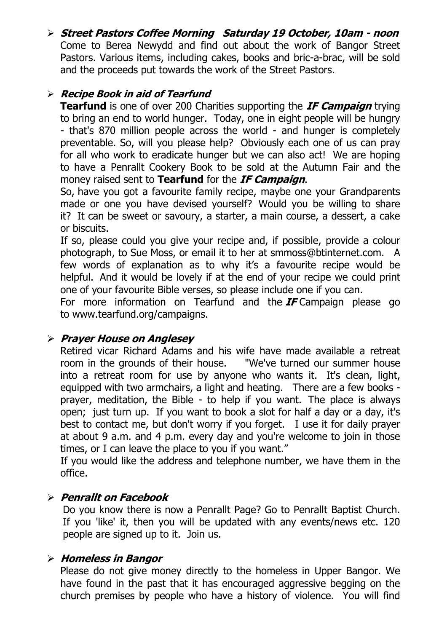**Street Pastors Coffee Morning Saturday 19 October, 10am - noon** Come to Berea Newydd and find out about the work of Bangor Street Pastors. Various items, including cakes, books and bric-a-brac, will be sold and the proceeds put towards the work of the Street Pastors.

#### **Recipe Book in aid of Tearfund**

**Tearfund** is one of over 200 Charities supporting the **IF Campaign** trying to bring an end to world hunger. Today, one in eight people will be hungry - that's 870 million people across the world - and hunger is completely preventable. So, will you please help? Obviously each one of us can pray for all who work to eradicate hunger but we can also act! We are hoping to have a Penrallt Cookery Book to be sold at the Autumn Fair and the money raised sent to **Tearfund** for the **IF Campaign**.

So, have you got a favourite family recipe, maybe one your Grandparents made or one you have devised yourself? Would you be willing to share it? It can be sweet or savoury, a starter, a main course, a dessert, a cake or biscuits.

If so, please could you give your recipe and, if possible, provide a colour photograph, to Sue Moss, or email it to her at [smmoss@btinternet.com.](mailto:smmoss@btinternet.com) A few words of explanation as to why it's a favourite recipe would be helpful. And it would be lovely if at the end of your recipe we could print one of your favourite Bible verses, so please include one if you can.

For more information on Tearfund and the **IF** Campaign please go to [www.tearfund.org/campaigns.](http://www.tearfund.org/campaigns)

#### **Prayer House on Anglesey**

Retired vicar Richard Adams and his wife have made available a retreat room in the grounds of their house. "We've turned our summer house into a retreat room for use by anyone who wants it. It's clean, light, equipped with two armchairs, a light and heating. There are a few books prayer, meditation, the Bible - to help if you want. The place is always open; just turn up. If you want to book a slot for half a day or a day, it's best to contact me, but don't worry if you forget. I use it for daily prayer at about 9 a.m. and 4 p.m. every day and you're welcome to join in those times, or I can leave the place to you if you want."

If you would like the address and telephone number, we have them in the office.

#### **Penrallt on Facebook**

Do you know there is now a Penrallt Page? Go to Penrallt Baptist Church. If you 'like' it, then you will be updated with any events/news etc. 120 people are signed up to it. Join us.

#### **Homeless in Bangor**

Please do not give money directly to the homeless in Upper Bangor. We have found in the past that it has encouraged aggressive begging on the church premises by people who have a history of violence. You will find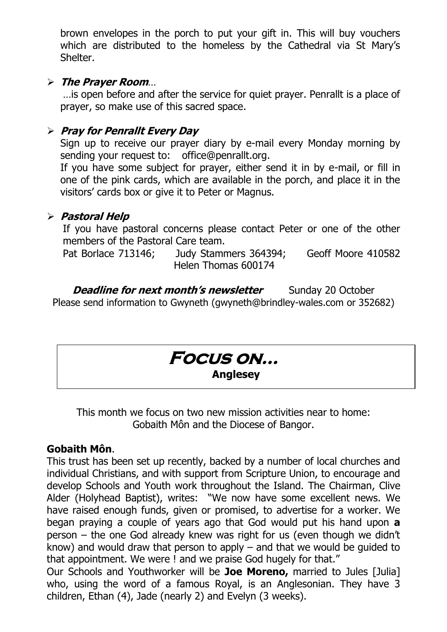brown envelopes in the porch to put your gift in. This will buy vouchers which are distributed to the homeless by the Cathedral via St Mary's Shelter.

#### **The Prayer Room**…

…is open before and after the service for quiet prayer. Penrallt is a place of prayer, so make use of this sacred space.

#### **Pray for Penrallt Every Day**

Sign up to receive our prayer diary by e-mail every Monday morning by sending your request to: [office@penrallt.org.](mailto:office@penrallt.org)

If you have some subject for prayer, either send it in by e-mail, or fill in one of the pink cards, which are available in the porch, and place it in the visitors' cards box or give it to Peter or Magnus.

#### **Pastoral Help**

If you have pastoral concerns please contact Peter or one of the other members of the Pastoral Care team.

Pat Borlace 713146; Judy Stammers 364394; Geoff Moore 410582 Helen Thomas 600174

**Deadline for next month's newsletter** Sunday 20 October Please send information to Gwyneth [\(gwyneth@brindley-wales.com](mailto:gwyneth@brindley-wales.com) or 352682)

### **Focus on… Anglesey**

This month we focus on two new mission activities near to home: Gobaith Môn and the Diocese of Bangor.

#### **Gobaith Môn**.

This trust has been set up recently, backed by a number of local churches and individual Christians, and with support from Scripture Union, to encourage and develop Schools and Youth work throughout the Island. The Chairman, Clive Alder (Holyhead Baptist), writes: "We now have some excellent news. We have raised enough funds, given or promised, to advertise for a worker. We began praying a couple of years ago that God would put his hand upon **a**  person – the one God already knew was right for us (even though we didn't know) and would draw that person to apply – and that we would be guided to that appointment. We were ! and we praise God hugely for that."

Our Schools and Youthworker will be **Joe Moreno,** married to Jules [Julia] who, using the word of a famous Royal, is an Anglesonian. They have 3 children, Ethan (4), Jade (nearly 2) and Evelyn (3 weeks).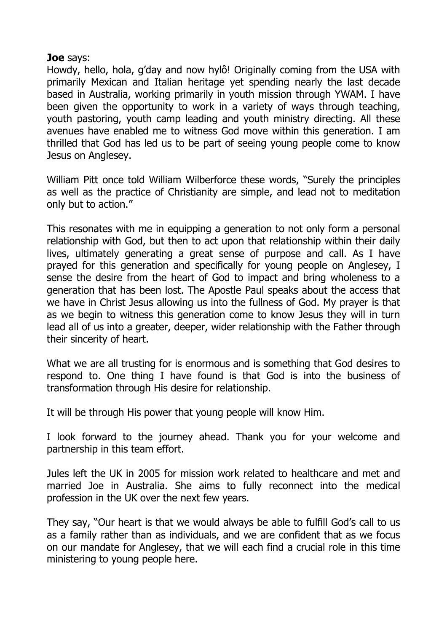#### **Joe** says:

Howdy, hello, hola, g'day and now hylô! Originally coming from the USA with primarily Mexican and Italian heritage yet spending nearly the last decade based in Australia, working primarily in youth mission through YWAM. I have been given the opportunity to work in a variety of ways through teaching, youth pastoring, youth camp leading and youth ministry directing. All these avenues have enabled me to witness God move within this generation. I am thrilled that God has led us to be part of seeing young people come to know Jesus on Anglesey.

William Pitt once told William Wilberforce these words, "Surely the principles as well as the practice of Christianity are simple, and lead not to meditation only but to action."

This resonates with me in equipping a generation to not only form a personal relationship with God, but then to act upon that relationship within their daily lives, ultimately generating a great sense of purpose and call. As I have prayed for this generation and specifically for young people on Anglesey, I sense the desire from the heart of God to impact and bring wholeness to a generation that has been lost. The Apostle Paul speaks about the access that we have in Christ Jesus allowing us into the fullness of God. My prayer is that as we begin to witness this generation come to know Jesus they will in turn lead all of us into a greater, deeper, wider relationship with the Father through their sincerity of heart.

What we are all trusting for is enormous and is something that God desires to respond to. One thing I have found is that God is into the business of transformation through His desire for relationship.

It will be through His power that young people will know Him.

I look forward to the journey ahead. Thank you for your welcome and partnership in this team effort.

Jules left the UK in 2005 for mission work related to healthcare and met and married Joe in Australia. She aims to fully reconnect into the medical profession in the UK over the next few years.

They say, "Our heart is that we would always be able to fulfill God's call to us as a family rather than as individuals, and we are confident that as we focus on our mandate for Anglesey, that we will each find a crucial role in this time ministering to young people here.